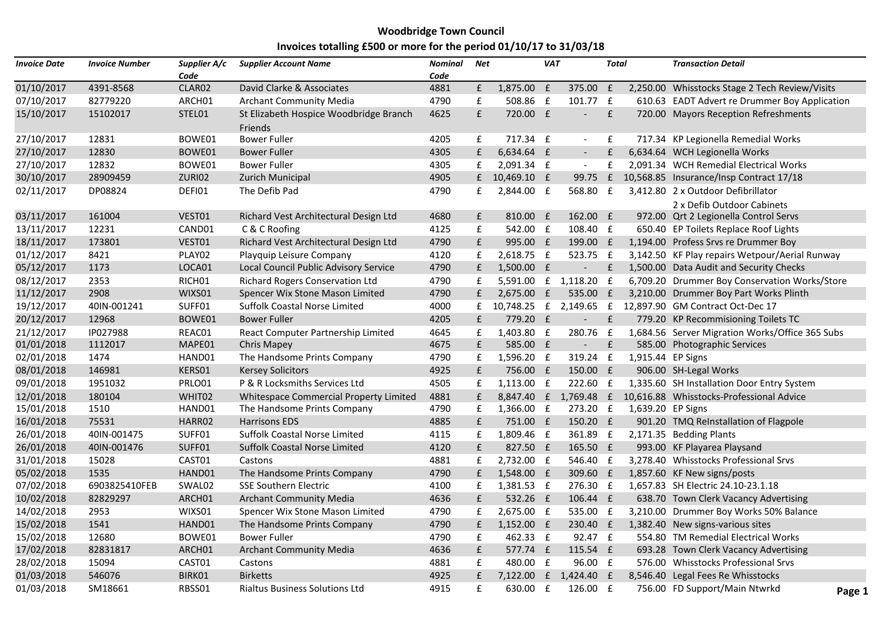## **Woodbridge Town Council Invoices totalling £500 or more for the period 01/10/17 to 31/03/18**

| <b>Invoice Date</b> | <b>Invoice Number</b> | Supplier A/c       | <b>Supplier Account Name</b>                      | Nominal | <b>Net</b>         |               | <b>VAT</b>   |                          | <b>Total</b>       |                   | <b>Transaction Detail</b>                                        |        |
|---------------------|-----------------------|--------------------|---------------------------------------------------|---------|--------------------|---------------|--------------|--------------------------|--------------------|-------------------|------------------------------------------------------------------|--------|
|                     |                       | Code               |                                                   | Code    |                    |               |              |                          |                    |                   |                                                                  |        |
| 01/10/2017          | 4391-8568             | CLAR02             | David Clarke & Associates                         | 4881    | ${\bf f}$          | 1,875.00 £    |              | 375.00 £                 |                    |                   | 2,250.00 Whisstocks Stage 2 Tech Review/Visits                   |        |
| 07/10/2017          | 82779220              | ARCH01             | <b>Archant Community Media</b>                    | 4790    | £                  | 508.86 £      |              | 101.77 £                 |                    |                   | 610.63 EADT Advert re Drummer Boy Application                    |        |
| 15/10/2017          | 15102017              | STEL01             | St Elizabeth Hospice Woodbridge Branch<br>Friends | 4625    | £                  | 720.00 £      |              | $\overline{\phantom{a}}$ | f(x)               |                   | 720.00 Mayors Reception Refreshments                             |        |
| 27/10/2017          | 12831                 | BOWE01             | <b>Bower Fuller</b>                               | 4205    | £                  | 717.34 £      |              | $\overline{\phantom{a}}$ | £                  |                   | 717.34 KP Legionella Remedial Works                              |        |
| 27/10/2017          | 12830                 | BOWE01             | <b>Bower Fuller</b>                               | 4305    | $\pmb{\mathsf{f}}$ | 6,634.64 £    |              | $\overline{\phantom{a}}$ | $\pmb{\mathsf{f}}$ |                   | 6,634.64 WCH Legionella Works                                    |        |
| 27/10/2017          | 12832                 | BOWE01             | <b>Bower Fuller</b>                               | 4305    | £                  | 2,091.34 £    |              | $\sim$                   | £                  |                   | 2,091.34 WCH Remedial Electrical Works                           |        |
| 30/10/2017          | 28909459              | ZURI02             | <b>Zurich Municipal</b>                           | 4905    |                    | £ 10,469.10 £ |              | 99.75                    | E                  |                   | 10,568.85 Insurance/Insp Contract 17/18                          |        |
| 02/11/2017          | DP08824               | DEFI01             | The Defib Pad                                     | 4790    | £                  | 2,844.00 £    |              | 568.80 £                 |                    |                   | 3,412.80 2 x Outdoor Defibrillator<br>2 x Defib Outdoor Cabinets |        |
| 03/11/2017          | 161004                | VEST01             | Richard Vest Architectural Design Ltd             | 4680    | £                  | 810.00 £      |              | 162.00 £                 |                    |                   | 972.00 Qrt 2 Legionella Control Servs                            |        |
| 13/11/2017          | 12231                 | CAND01             | C & C Roofing                                     | 4125    | ${\bf f}$          | 542.00 £      |              | 108.40 £                 |                    |                   | 650.40 EP Toilets Replace Roof Lights                            |        |
| 18/11/2017          | 173801                | VEST01             | Richard Vest Architectural Design Ltd             | 4790    | $\mathbf f$        | 995.00 £      |              | 199.00 £                 |                    |                   | 1,194.00 Profess Srvs re Drummer Boy                             |        |
| 01/12/2017          | 8421                  | PLAY02             | Playquip Leisure Company                          | 4120    | £                  | 2,618.75 £    |              | 523.75 £                 |                    |                   | 3,142.50 KF Play repairs Wetpour/Aerial Runway                   |        |
| 05/12/2017          | 1173                  | LOCA01             | Local Council Public Advisory Service             | 4790    | £                  | 1,500.00 £    |              | $\sim$                   | $\mathbf{f}$       |                   | 1,500.00 Data Audit and Security Checks                          |        |
| 08/12/2017          | 2353                  | RICH01             | <b>Richard Rogers Conservation Ltd</b>            | 4790    | $\mathbf f$        | 5,591.00 £    |              | 1,118.20 £               |                    |                   | 6,709.20 Drummer Boy Conservation Works/Store                    |        |
| 11/12/2017          | 2908                  | WIXS01             | Spencer Wix Stone Mason Limited                   | 4790    | $\mathbf f$        | $2,675.00$ £  |              | 535.00 £                 |                    |                   | 3,210.00 Drummer Boy Part Works Plinth                           |        |
| 19/12/2017          | 40IN-001241           | SUFF01             | <b>Suffolk Coastal Norse Limited</b>              | 4000    | $f_{\rm L}$        | 10,748.25 £   |              | 2,149.65 £               |                    |                   | 12,897.90 GM Contract Oct-Dec 17                                 |        |
| 20/12/2017          | 12968                 | BOWE01             | <b>Bower Fuller</b>                               | 4205    | £                  | 779.20 £      |              | $\overline{\phantom{a}}$ | f(x)               |                   | 779.20 KP Recommisioning Toilets TC                              |        |
| 21/12/2017          | IP027988              | REAC01             | React Computer Partnership Limited                | 4645    | £                  | 1,403.80 £    |              | 280.76                   | $\mathbf f$        |                   | 1,684.56 Server Migration Works/Office 365 Subs                  |        |
| 01/01/2018          | 1112017               | MAPE01             | <b>Chris Mapey</b>                                | 4675    | £                  | 585.00 £      |              | $\blacksquare$           | £                  |                   | 585.00 Photographic Services                                     |        |
| 02/01/2018          | 1474                  | HAND01             | The Handsome Prints Company                       | 4790    | £                  | 1,596.20 £    |              | 319.24 £                 |                    | 1,915.44 EP Signs |                                                                  |        |
| 08/01/2018          | 146981                | KERS01             | <b>Kersey Solicitors</b>                          | 4925    | f                  | 756.00 £      |              | 150.00 £                 |                    |                   | 906.00 SH-Legal Works                                            |        |
| 09/01/2018          | 1951032               | PRLO01             | P & R Locksmiths Services Ltd                     | 4505    | $\pmb{\mathsf{f}}$ | 1,113.00 £    |              | 222.60 £                 |                    |                   | 1,335.60 SH Installation Door Entry System                       |        |
| 12/01/2018          | 180104                | WHIT <sub>02</sub> | Whitespace Commercial Property Limited            | 4881    | £                  |               |              |                          |                    |                   | 8,847.40 £ 1,769.48 £ 10,616.88 Whisstocks-Professional Advice   |        |
| 15/01/2018          | 1510                  | HAND01             | The Handsome Prints Company                       | 4790    | £                  | 1,366.00 £    |              | 273.20 £                 |                    | 1,639.20 EP Signs |                                                                  |        |
| 16/01/2018          | 75531                 | HARR02             | <b>Harrisons EDS</b>                              | 4885    | f                  | 751.00 £      |              | 150.20 £                 |                    |                   | 901.20 TMQ ReInstallation of Flagpole                            |        |
| 26/01/2018          | 40IN-001475           | SUFF01             | <b>Suffolk Coastal Norse Limited</b>              | 4115    | £                  | 1,809.46 £    |              | 361.89 £                 |                    |                   | 2,171.35 Bedding Plants                                          |        |
| 26/01/2018          | 40IN-001476           | SUFF01             | Suffolk Coastal Norse Limited                     | 4120    | f                  | 827.50 £      |              | 165.50 £                 |                    |                   | 993.00 KF Playarea Playsand                                      |        |
| 31/01/2018          | 15028                 | CAST01             | Castons                                           | 4881    | £                  | 2,732.00 £    |              | 546.40 £                 |                    |                   | 3,278.40 Whisstocks Professional Srvs                            |        |
| 05/02/2018          | 1535                  | HAND01             | The Handsome Prints Company                       | 4790    | £                  | 1,548.00 £    |              | 309.60 £                 |                    |                   | 1,857.60 KF New signs/posts                                      |        |
| 07/02/2018          | 6903825410FEB         | SWAL02             | <b>SSE Southern Electric</b>                      | 4100    | £                  | 1,381.53 f    |              | 276.30 £                 |                    |                   | 1,657.83 SH Electric 24.10-23.1.18                               |        |
| 10/02/2018          | 82829297              | ARCH01             | <b>Archant Community Media</b>                    | 4636    | $\mathbf f$        | 532.26 £      |              | 106.44 £                 |                    |                   | 638.70 Town Clerk Vacancy Advertising                            |        |
| 14/02/2018          | 2953                  | WIXS01             | Spencer Wix Stone Mason Limited                   | 4790    | $\mathbf f$        | 2,675.00 £    |              | 535.00 £                 |                    |                   | 3,210.00 Drummer Boy Works 50% Balance                           |        |
| 15/02/2018          | 1541                  | HAND01             | The Handsome Prints Company                       | 4790    | £                  | $1,152.00$ f  |              | 230.40 £                 |                    |                   | 1,382.40 New signs-various sites                                 |        |
| 15/02/2018          | 12680                 | BOWE01             | <b>Bower Fuller</b>                               | 4790    | £                  | 462.33 £      |              | 92.47 £                  |                    |                   | 554.80 TM Remedial Electrical Works                              |        |
| 17/02/2018          | 82831817              | ARCH01             | <b>Archant Community Media</b>                    | 4636    | f                  | 577.74 £      |              | 115.54 £                 |                    |                   | 693.28 Town Clerk Vacancy Advertising                            |        |
| 28/02/2018          | 15094                 | CAST01             | Castons                                           | 4881    | $\mathbf f$        | 480.00 £      |              | 96.00 £                  |                    |                   | 576.00 Whisstocks Professional Srvs                              |        |
| 01/03/2018          | 546076                | BIRK01             | <b>Birketts</b>                                   | 4925    | £                  | 7,122.00      | $\mathbf{f}$ | 1,424.40 £               |                    |                   | 8,546.40 Legal Fees Re Whisstocks                                |        |
| 01/03/2018          | SM18661               | RBSS01             | <b>Rialtus Business Solutions Ltd</b>             | 4915    | $\mathbf f$        | 630.00        | f            | 126.00 £                 |                    |                   | 756.00 FD Support/Main Ntwrkd                                    | Page 1 |